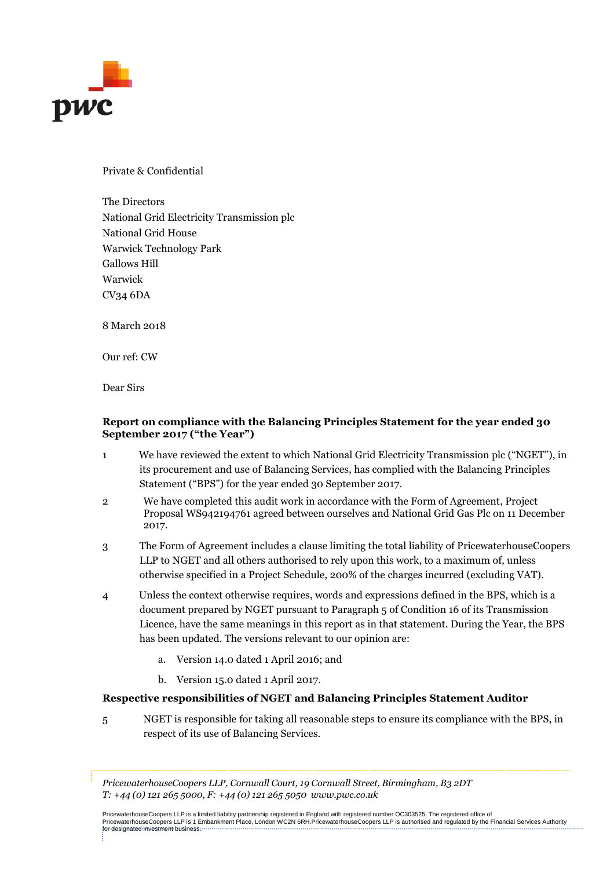

Private & Confidential

The Directors National Grid Electricity Transmission plc National Grid House Warwick Technology Park Gallows Hill Warwick CV34 6DA

8 March 2018

Our ref: CW

Dear Sirs

### **Report on compliance with the Balancing Principles Statement for the year ended 30 September 2017 ("the Year")**

- 1 We have reviewed the extent to which National Grid Electricity Transmission plc ("NGET"), in its procurement and use of Balancing Services, has complied with the Balancing Principles Statement ("BPS") for the year ended 30 September 2017.
- 2 We have completed this audit work in accordance with the Form of Agreement, Project Proposal WS942194761 agreed between ourselves and National Grid Gas Plc on 11 December 2017.
- 3 The Form of Agreement includes a clause limiting the total liability of PricewaterhouseCoopers LLP to NGET and all others authorised to rely upon this work, to a maximum of, unless otherwise specified in a Project Schedule, 200% of the charges incurred (excluding VAT).
- 4 Unless the context otherwise requires, words and expressions defined in the BPS, which is a document prepared by NGET pursuant to Paragraph 5 of Condition 16 of its Transmission Licence, have the same meanings in this report as in that statement. During the Year, the BPS has been updated. The versions relevant to our opinion are:
	- a. Version 14.0 dated 1 April 2016; and
	- b. Version 15.0 dated 1 April 2017.

### **Respective responsibilities of NGET and Balancing Principles Statement Auditor**

5 NGET is responsible for taking all reasonable steps to ensure its compliance with the BPS, in respect of its use of Balancing Services.

*PricewaterhouseCoopers LLP, Cornwall Court, 19 Cornwall Street, Birmingham, B3 2DT T: +44 (0) 121 265 5000, F: +44 (0) 121 265 5050 www.pwc.co.uk*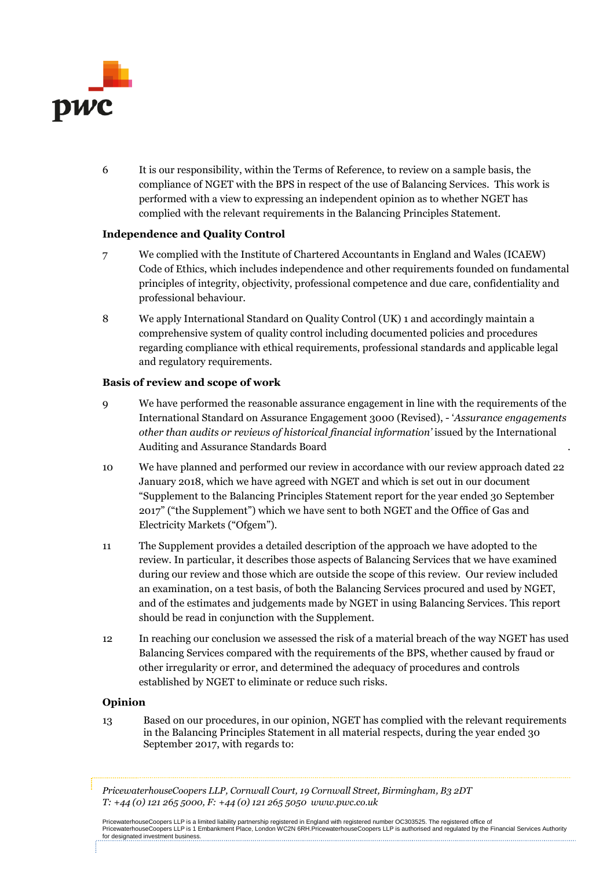

6 It is our responsibility, within the Terms of Reference, to review on a sample basis, the compliance of NGET with the BPS in respect of the use of Balancing Services. This work is performed with a view to expressing an independent opinion as to whether NGET has complied with the relevant requirements in the Balancing Principles Statement.

### **Independence and Quality Control**

- 7 We complied with the Institute of Chartered Accountants in England and Wales (ICAEW) Code of Ethics, which includes independence and other requirements founded on fundamental principles of integrity, objectivity, professional competence and due care, confidentiality and professional behaviour.
- 8 We apply International Standard on Quality Control (UK) 1 and accordingly maintain a comprehensive system of quality control including documented policies and procedures regarding compliance with ethical requirements, professional standards and applicable legal and regulatory requirements.

### **Basis of review and scope of work**

- 9 We have performed the reasonable assurance engagement in line with the requirements of the International Standard on Assurance Engagement 3000 (Revised), - '*Assurance engagements other than audits or reviews of historical financial information'* issued by the International Auditing and Assurance Standards Board .
- 10 We have planned and performed our review in accordance with our review approach dated 22 January 2018, which we have agreed with NGET and which is set out in our document "Supplement to the Balancing Principles Statement report for the year ended 30 September 2017" ("the Supplement") which we have sent to both NGET and the Office of Gas and Electricity Markets ("Ofgem").
- 11 The Supplement provides a detailed description of the approach we have adopted to the review. In particular, it describes those aspects of Balancing Services that we have examined during our review and those which are outside the scope of this review. Our review included an examination, on a test basis, of both the Balancing Services procured and used by NGET, and of the estimates and judgements made by NGET in using Balancing Services. This report should be read in conjunction with the Supplement.
- 12 In reaching our conclusion we assessed the risk of a material breach of the way NGET has used Balancing Services compared with the requirements of the BPS, whether caused by fraud or other irregularity or error, and determined the adequacy of procedures and controls established by NGET to eliminate or reduce such risks.

### **Opinion**

13 Based on our procedures, in our opinion, NGET has complied with the relevant requirements in the Balancing Principles Statement in all material respects, during the year ended 30 September 2017, with regards to:

*PricewaterhouseCoopers LLP, Cornwall Court, 19 Cornwall Street, Birmingham, B3 2DT T: +44 (0) 121 265 5000, F: +44 (0) 121 265 5050 www.pwc.co.uk*

PricewaterhouseCoopers LLP is a limited liability partnership registered in England with registered number OC303525. The registered office of<br>PricewaterhouseCoopers LLP is 1 Embankment Place, London WC2N 6RH.Pricewaterhous for designated investment business.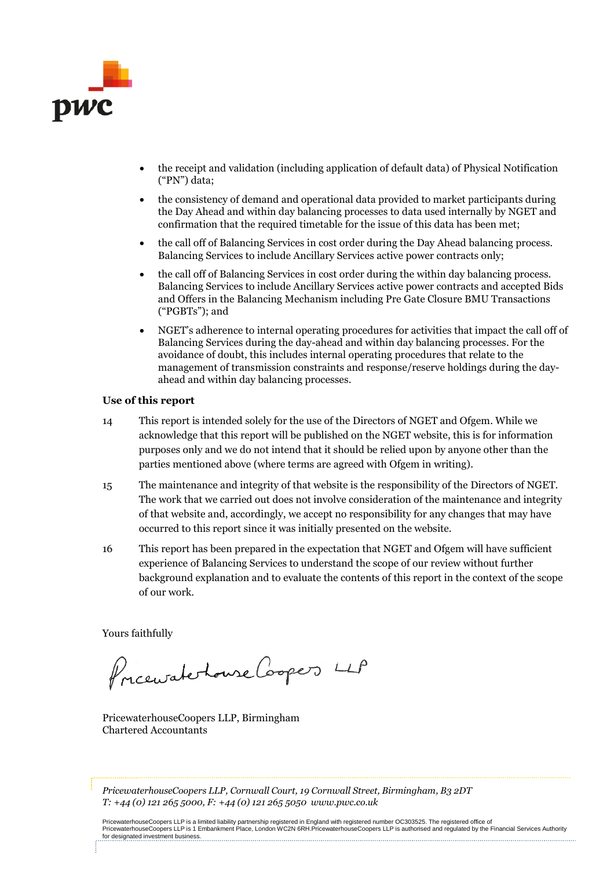

- the receipt and validation (including application of default data) of Physical Notification ("PN") data;
- the consistency of demand and operational data provided to market participants during the Day Ahead and within day balancing processes to data used internally by NGET and confirmation that the required timetable for the issue of this data has been met;
- the call off of Balancing Services in cost order during the Day Ahead balancing process. Balancing Services to include Ancillary Services active power contracts only;
- the call off of Balancing Services in cost order during the within day balancing process. Balancing Services to include Ancillary Services active power contracts and accepted Bids and Offers in the Balancing Mechanism including Pre Gate Closure BMU Transactions ("PGBTs"); and
- NGET's adherence to internal operating procedures for activities that impact the call off of Balancing Services during the day-ahead and within day balancing processes. For the avoidance of doubt, this includes internal operating procedures that relate to the management of transmission constraints and response/reserve holdings during the dayahead and within day balancing processes.

### **Use of this report**

- 14 This report is intended solely for the use of the Directors of NGET and Ofgem. While we acknowledge that this report will be published on the NGET website, this is for information purposes only and we do not intend that it should be relied upon by anyone other than the parties mentioned above (where terms are agreed with Ofgem in writing).
- 15 The maintenance and integrity of that website is the responsibility of the Directors of NGET. The work that we carried out does not involve consideration of the maintenance and integrity of that website and, accordingly, we accept no responsibility for any changes that may have occurred to this report since it was initially presented on the website.
- 16 This report has been prepared in the expectation that NGET and Ofgem will have sufficient experience of Balancing Services to understand the scope of our review without further background explanation and to evaluate the contents of this report in the context of the scope of our work.

Yours faithfully

Pricewaterhouse Coopers LLP

PricewaterhouseCoopers LLP, Birmingham Chartered Accountants

*PricewaterhouseCoopers LLP, Cornwall Court, 19 Cornwall Street, Birmingham, B3 2DT T: +44 (0) 121 265 5000, F: +44 (0) 121 265 5050 www.pwc.co.uk*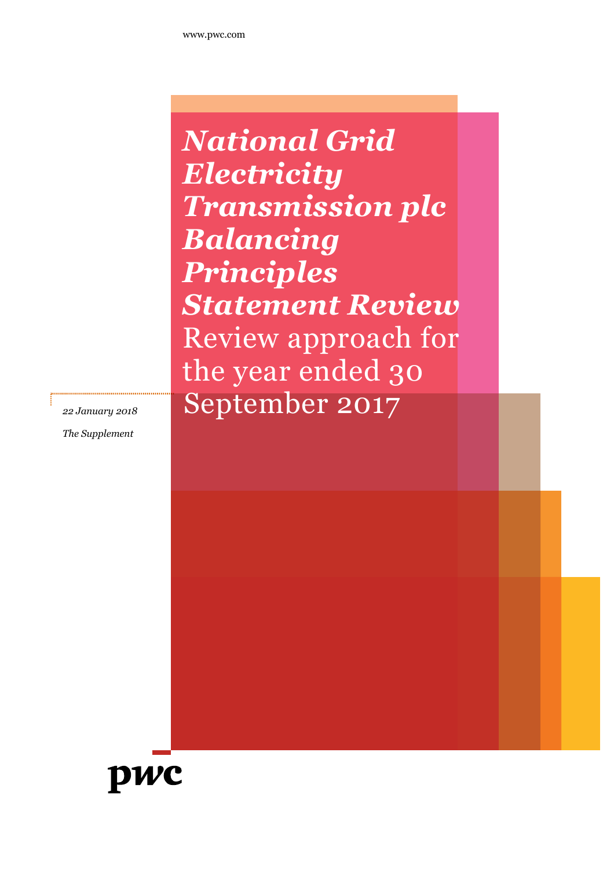*National Grid Electricity Transmission plc Balancing Principles Statement Review* Review approach for the year ended 30 22 *January 2018* September 2017

*The Supplement*

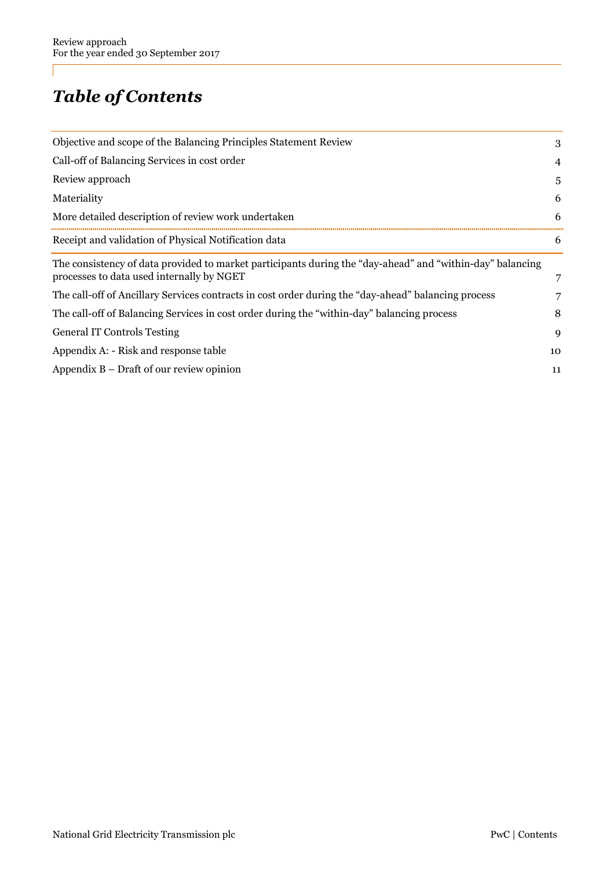# *Table of Contents*

| Objective and scope of the Balancing Principles Statement Review                                                                                       | 3  |
|--------------------------------------------------------------------------------------------------------------------------------------------------------|----|
| Call-off of Balancing Services in cost order                                                                                                           | 4  |
| Review approach                                                                                                                                        | 5. |
| Materiality                                                                                                                                            | 6  |
| More detailed description of review work undertaken                                                                                                    | 6  |
| Receipt and validation of Physical Notification data                                                                                                   | 6  |
| The consistency of data provided to market participants during the "day-ahead" and "within-day" balancing<br>processes to data used internally by NGET | 7  |
| The call-off of Ancillary Services contracts in cost order during the "day-ahead" balancing process                                                    |    |
| The call-off of Balancing Services in cost order during the "within-day" balancing process                                                             | 8  |
| <b>General IT Controls Testing</b>                                                                                                                     | 9  |
| Appendix A: - Risk and response table                                                                                                                  | 10 |
| Appendix $B$ – Draft of our review opinion                                                                                                             | 11 |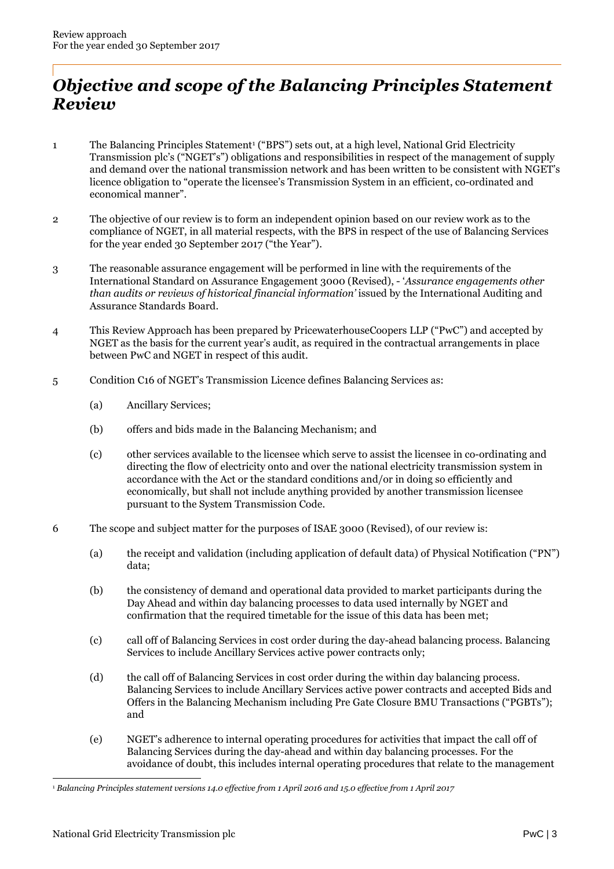## *Objective and scope of the Balancing Principles Statement Review*

- 1 The Balancing Principles Statement<sup>1</sup> ("BPS") sets out, at a high level, National Grid Electricity Transmission plc's ("NGET's") obligations and responsibilities in respect of the management of supply and demand over the national transmission network and has been written to be consistent with NGET's licence obligation to "operate the licensee's Transmission System in an efficient, co-ordinated and economical manner".
- 2 The objective of our review is to form an independent opinion based on our review work as to the compliance of NGET, in all material respects, with the BPS in respect of the use of Balancing Services for the year ended 30 September 2017 ("the Year").
- 3 The reasonable assurance engagement will be performed in line with the requirements of the International Standard on Assurance Engagement 3000 (Revised), - '*Assurance engagements other than audits or reviews of historical financial information'* issued by the International Auditing and Assurance Standards Board.
- 4 This Review Approach has been prepared by PricewaterhouseCoopers LLP ("PwC") and accepted by NGET as the basis for the current year's audit, as required in the contractual arrangements in place between PwC and NGET in respect of this audit.
- 5 Condition C16 of NGET's Transmission Licence defines Balancing Services as:
	- (a) Ancillary Services;
	- (b) offers and bids made in the Balancing Mechanism; and
	- (c) other services available to the licensee which serve to assist the licensee in co-ordinating and directing the flow of electricity onto and over the national electricity transmission system in accordance with the Act or the standard conditions and/or in doing so efficiently and economically, but shall not include anything provided by another transmission licensee pursuant to the System Transmission Code.
- 6 The scope and subject matter for the purposes of ISAE 3000 (Revised), of our review is:
	- (a) the receipt and validation (including application of default data) of Physical Notification ("PN") data;
	- (b) the consistency of demand and operational data provided to market participants during the Day Ahead and within day balancing processes to data used internally by NGET and confirmation that the required timetable for the issue of this data has been met;
	- (c) call off of Balancing Services in cost order during the day-ahead balancing process. Balancing Services to include Ancillary Services active power contracts only;
	- (d) the call off of Balancing Services in cost order during the within day balancing process. Balancing Services to include Ancillary Services active power contracts and accepted Bids and Offers in the Balancing Mechanism including Pre Gate Closure BMU Transactions ("PGBTs"); and
	- (e) NGET's adherence to internal operating procedures for activities that impact the call off of Balancing Services during the day-ahead and within day balancing processes. For the avoidance of doubt, this includes internal operating procedures that relate to the management

<sup>1</sup> *Balancing Principles statement versions 14.0 effective from 1 April 2016 and 15.0 effective from 1 April 2017*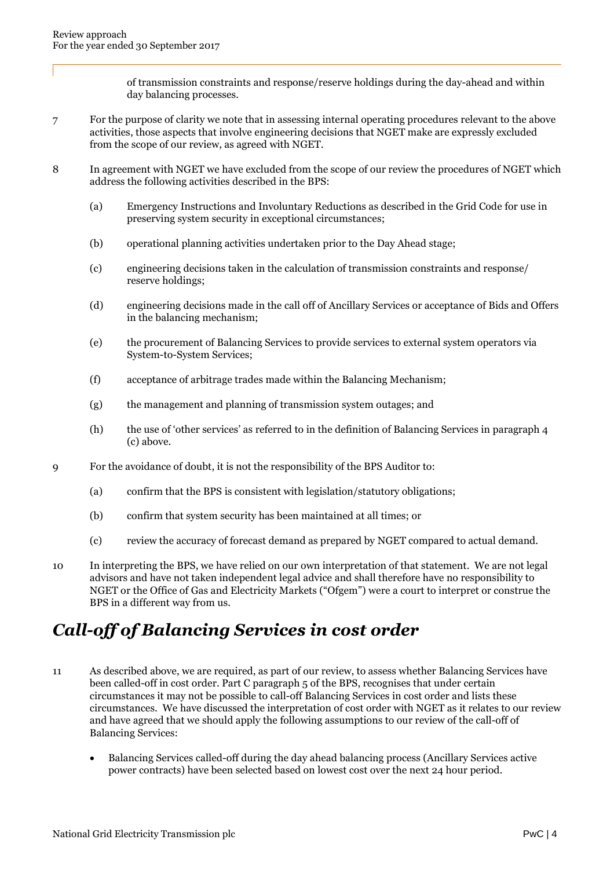of transmission constraints and response/reserve holdings during the day-ahead and within day balancing processes.

- 7 For the purpose of clarity we note that in assessing internal operating procedures relevant to the above activities, those aspects that involve engineering decisions that NGET make are expressly excluded from the scope of our review, as agreed with NGET.
- 8 In agreement with NGET we have excluded from the scope of our review the procedures of NGET which address the following activities described in the BPS:
	- (a) Emergency Instructions and Involuntary Reductions as described in the Grid Code for use in preserving system security in exceptional circumstances;
	- (b) operational planning activities undertaken prior to the Day Ahead stage;
	- (c) engineering decisions taken in the calculation of transmission constraints and response/ reserve holdings;
	- (d) engineering decisions made in the call off of Ancillary Services or acceptance of Bids and Offers in the balancing mechanism;
	- (e) the procurement of Balancing Services to provide services to external system operators via System-to-System Services;
	- (f) acceptance of arbitrage trades made within the Balancing Mechanism;
	- (g) the management and planning of transmission system outages; and
	- (h) the use of 'other services' as referred to in the definition of Balancing Services in paragraph 4 (c) above.
- 9 For the avoidance of doubt, it is not the responsibility of the BPS Auditor to:
	- (a) confirm that the BPS is consistent with legislation/statutory obligations;
	- (b) confirm that system security has been maintained at all times; or
	- (c) review the accuracy of forecast demand as prepared by NGET compared to actual demand.
- 10 In interpreting the BPS, we have relied on our own interpretation of that statement. We are not legal advisors and have not taken independent legal advice and shall therefore have no responsibility to NGET or the Office of Gas and Electricity Markets ("Ofgem") were a court to interpret or construe the BPS in a different way from us.

## *Call-off of Balancing Services in cost order*

- 11 As described above, we are required, as part of our review, to assess whether Balancing Services have been called-off in cost order. Part C paragraph 5 of the BPS, recognises that under certain circumstances it may not be possible to call-off Balancing Services in cost order and lists these circumstances. We have discussed the interpretation of cost order with NGET as it relates to our review and have agreed that we should apply the following assumptions to our review of the call-off of Balancing Services:
	- Balancing Services called-off during the day ahead balancing process (Ancillary Services active power contracts) have been selected based on lowest cost over the next 24 hour period.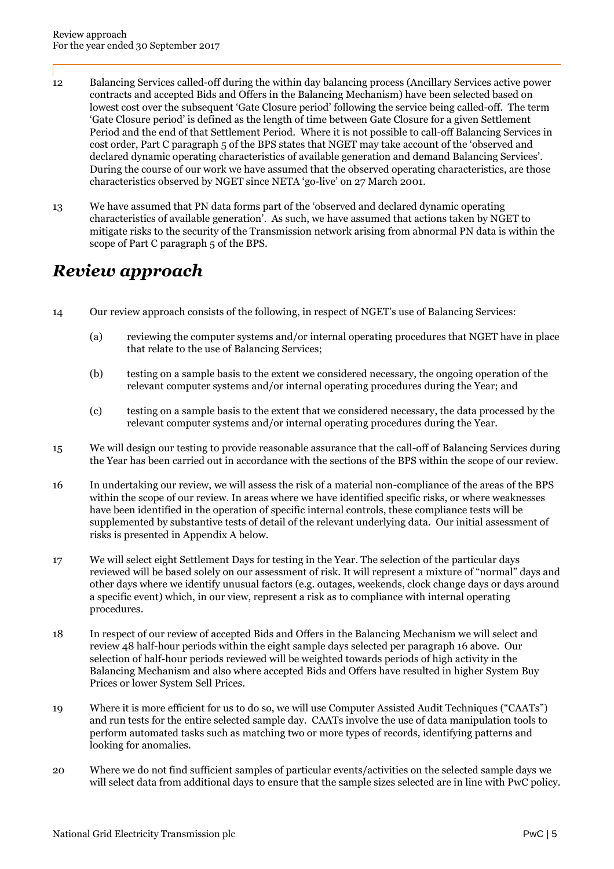- 12 Balancing Services called-off during the within day balancing process (Ancillary Services active power contracts and accepted Bids and Offers in the Balancing Mechanism) have been selected based on lowest cost over the subsequent 'Gate Closure period' following the service being called-off. The term 'Gate Closure period' is defined as the length of time between Gate Closure for a given Settlement Period and the end of that Settlement Period. Where it is not possible to call-off Balancing Services in cost order, Part C paragraph 5 of the BPS states that NGET may take account of the 'observed and declared dynamic operating characteristics of available generation and demand Balancing Services'. During the course of our work we have assumed that the observed operating characteristics, are those characteristics observed by NGET since NETA 'go-live' on 27 March 2001.
- 13 We have assumed that PN data forms part of the 'observed and declared dynamic operating characteristics of available generation'. As such, we have assumed that actions taken by NGET to mitigate risks to the security of the Transmission network arising from abnormal PN data is within the scope of Part C paragraph 5 of the BPS.

## *Review approach*

- 14 Our review approach consists of the following, in respect of NGET's use of Balancing Services:
	- (a) reviewing the computer systems and/or internal operating procedures that NGET have in place that relate to the use of Balancing Services;
	- (b) testing on a sample basis to the extent we considered necessary, the ongoing operation of the relevant computer systems and/or internal operating procedures during the Year; and
	- (c) testing on a sample basis to the extent that we considered necessary, the data processed by the relevant computer systems and/or internal operating procedures during the Year.
- 15 We will design our testing to provide reasonable assurance that the call-off of Balancing Services during the Year has been carried out in accordance with the sections of the BPS within the scope of our review.
- 16 In undertaking our review, we will assess the risk of a material non-compliance of the areas of the BPS within the scope of our review. In areas where we have identified specific risks, or where weaknesses have been identified in the operation of specific internal controls, these compliance tests will be supplemented by substantive tests of detail of the relevant underlying data. Our initial assessment of risks is presented in Appendix A below.
- 17 We will select eight Settlement Days for testing in the Year. The selection of the particular days reviewed will be based solely on our assessment of risk. It will represent a mixture of "normal" days and other days where we identify unusual factors (e.g. outages, weekends, clock change days or days around a specific event) which, in our view, represent a risk as to compliance with internal operating procedures.
- 18 In respect of our review of accepted Bids and Offers in the Balancing Mechanism we will select and review 48 half-hour periods within the eight sample days selected per paragraph 16 above. Our selection of half-hour periods reviewed will be weighted towards periods of high activity in the Balancing Mechanism and also where accepted Bids and Offers have resulted in higher System Buy Prices or lower System Sell Prices.
- 19 Where it is more efficient for us to do so, we will use Computer Assisted Audit Techniques ("CAATs") and run tests for the entire selected sample day. CAATs involve the use of data manipulation tools to perform automated tasks such as matching two or more types of records, identifying patterns and looking for anomalies.
- 20 Where we do not find sufficient samples of particular events/activities on the selected sample days we will select data from additional days to ensure that the sample sizes selected are in line with PwC policy.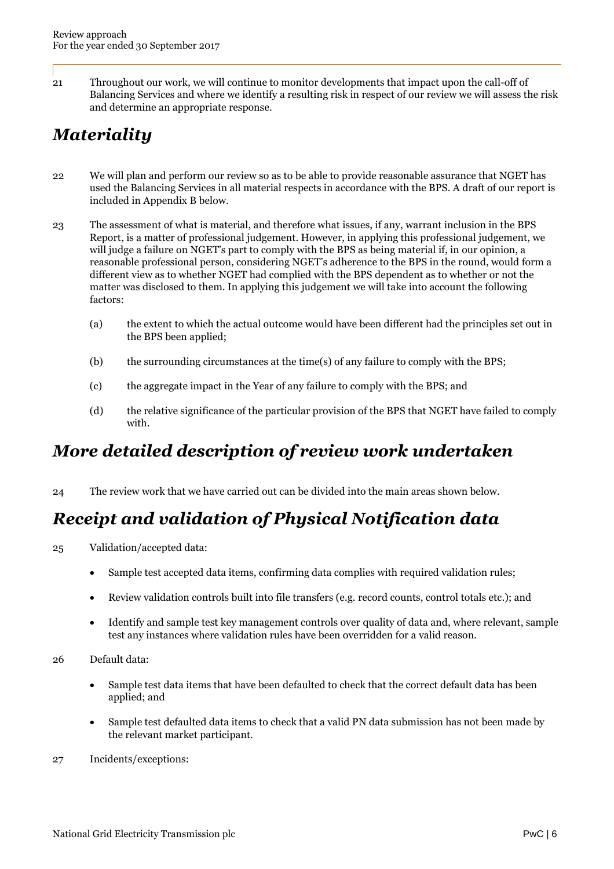21 Throughout our work, we will continue to monitor developments that impact upon the call-off of Balancing Services and where we identify a resulting risk in respect of our review we will assess the risk and determine an appropriate response.

# *Materiality*

- 22 We will plan and perform our review so as to be able to provide reasonable assurance that NGET has used the Balancing Services in all material respects in accordance with the BPS. A draft of our report is included in Appendix B below.
- 23 The assessment of what is material, and therefore what issues, if any, warrant inclusion in the BPS Report, is a matter of professional judgement. However, in applying this professional judgement, we will judge a failure on NGET's part to comply with the BPS as being material if, in our opinion, a reasonable professional person, considering NGET's adherence to the BPS in the round, would form a different view as to whether NGET had complied with the BPS dependent as to whether or not the matter was disclosed to them. In applying this judgement we will take into account the following factors:
	- (a) the extent to which the actual outcome would have been different had the principles set out in the BPS been applied;
	- (b) the surrounding circumstances at the time(s) of any failure to comply with the BPS;
	- (c) the aggregate impact in the Year of any failure to comply with the BPS; and
	- (d) the relative significance of the particular provision of the BPS that NGET have failed to comply with.

## *More detailed description of review work undertaken*

24 The review work that we have carried out can be divided into the main areas shown below.

# *Receipt and validation of Physical Notification data*

- 25 Validation/accepted data:
	- Sample test accepted data items, confirming data complies with required validation rules;
	- Review validation controls built into file transfers (e.g. record counts, control totals etc.); and
	- Identify and sample test key management controls over quality of data and, where relevant, sample test any instances where validation rules have been overridden for a valid reason.
- 26 Default data:
	- Sample test data items that have been defaulted to check that the correct default data has been applied; and
	- Sample test defaulted data items to check that a valid PN data submission has not been made by the relevant market participant.
- 27 Incidents/exceptions: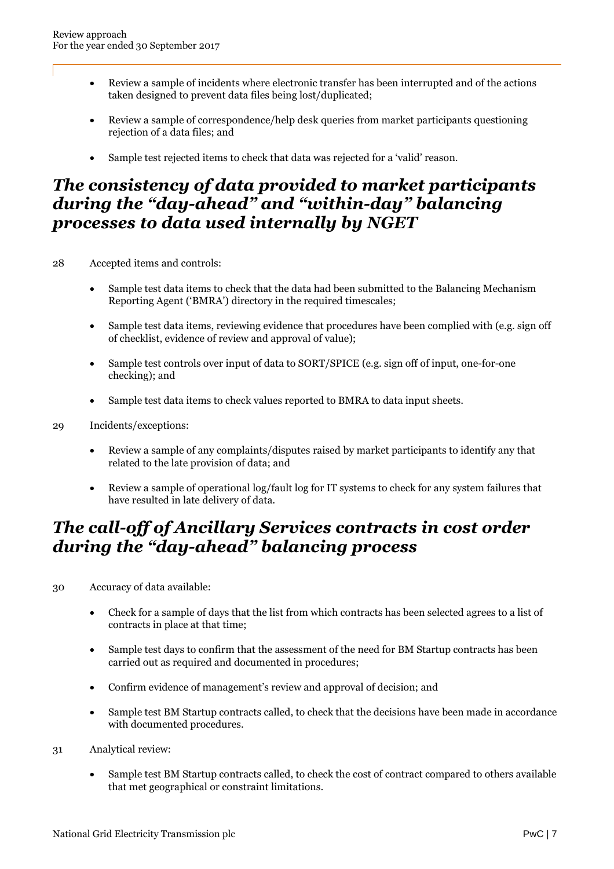- Review a sample of incidents where electronic transfer has been interrupted and of the actions taken designed to prevent data files being lost/duplicated;
- Review a sample of correspondence/help desk queries from market participants questioning rejection of a data files; and
- Sample test rejected items to check that data was rejected for a 'valid' reason.

### *The consistency of data provided to market participants during the "day-ahead" and "within-day" balancing processes to data used internally by NGET*

- 28 Accepted items and controls:
	- Sample test data items to check that the data had been submitted to the Balancing Mechanism Reporting Agent ('BMRA') directory in the required timescales;
	- Sample test data items, reviewing evidence that procedures have been complied with (e.g. sign off of checklist, evidence of review and approval of value);
	- Sample test controls over input of data to SORT/SPICE (e.g. sign off of input, one-for-one checking); and
	- Sample test data items to check values reported to BMRA to data input sheets.
- 29 Incidents/exceptions:
	- Review a sample of any complaints/disputes raised by market participants to identify any that related to the late provision of data; and
	- Review a sample of operational log/fault log for IT systems to check for any system failures that have resulted in late delivery of data.

### *The call-off of Ancillary Services contracts in cost order during the "day-ahead" balancing process*

- 30 Accuracy of data available:
	- Check for a sample of days that the list from which contracts has been selected agrees to a list of contracts in place at that time;
	- Sample test days to confirm that the assessment of the need for BM Startup contracts has been carried out as required and documented in procedures;
	- Confirm evidence of management's review and approval of decision; and
	- Sample test BM Startup contracts called, to check that the decisions have been made in accordance with documented procedures.
- 31 Analytical review:
	- Sample test BM Startup contracts called, to check the cost of contract compared to others available that met geographical or constraint limitations.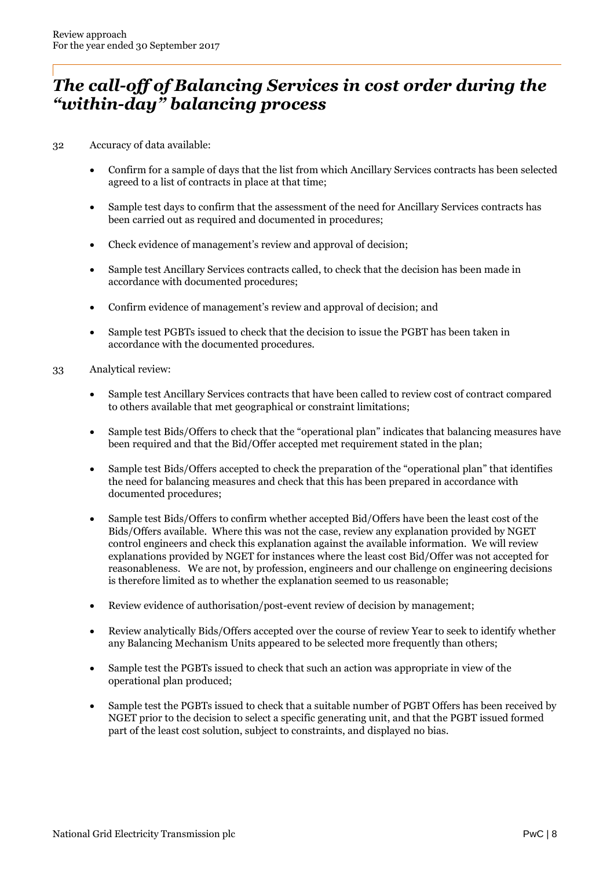### *The call-off of Balancing Services in cost order during the "within-day" balancing process*

32 Accuracy of data available:

- Confirm for a sample of days that the list from which Ancillary Services contracts has been selected agreed to a list of contracts in place at that time;
- Sample test days to confirm that the assessment of the need for Ancillary Services contracts has been carried out as required and documented in procedures;
- Check evidence of management's review and approval of decision;
- Sample test Ancillary Services contracts called, to check that the decision has been made in accordance with documented procedures;
- Confirm evidence of management's review and approval of decision; and
- Sample test PGBTs issued to check that the decision to issue the PGBT has been taken in accordance with the documented procedures.
- 33 Analytical review:
	- Sample test Ancillary Services contracts that have been called to review cost of contract compared to others available that met geographical or constraint limitations;
	- Sample test Bids/Offers to check that the "operational plan" indicates that balancing measures have been required and that the Bid/Offer accepted met requirement stated in the plan;
	- Sample test Bids/Offers accepted to check the preparation of the "operational plan" that identifies the need for balancing measures and check that this has been prepared in accordance with documented procedures;
	- Sample test Bids/Offers to confirm whether accepted Bid/Offers have been the least cost of the Bids/Offers available. Where this was not the case, review any explanation provided by NGET control engineers and check this explanation against the available information. We will review explanations provided by NGET for instances where the least cost Bid/Offer was not accepted for reasonableness. We are not, by profession, engineers and our challenge on engineering decisions is therefore limited as to whether the explanation seemed to us reasonable;
	- Review evidence of authorisation/post-event review of decision by management;
	- Review analytically Bids/Offers accepted over the course of review Year to seek to identify whether any Balancing Mechanism Units appeared to be selected more frequently than others;
	- Sample test the PGBTs issued to check that such an action was appropriate in view of the operational plan produced;
	- Sample test the PGBTs issued to check that a suitable number of PGBT Offers has been received by NGET prior to the decision to select a specific generating unit, and that the PGBT issued formed part of the least cost solution, subject to constraints, and displayed no bias.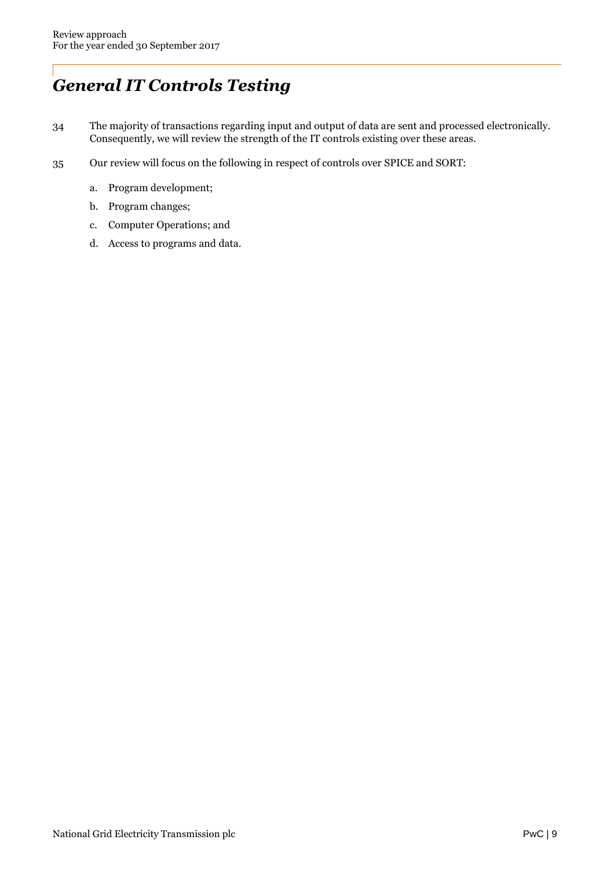# *General IT Controls Testing*

- 34 The majority of transactions regarding input and output of data are sent and processed electronically. Consequently, we will review the strength of the IT controls existing over these areas.
- 35 Our review will focus on the following in respect of controls over SPICE and SORT:
	- a. Program development;
	- b. Program changes;
	- c. Computer Operations; and
	- d. Access to programs and data.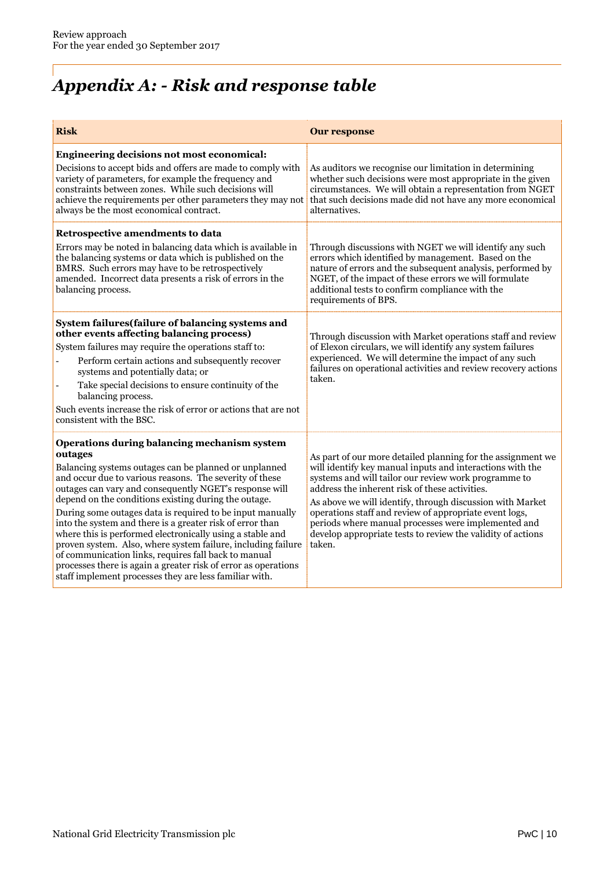# *Appendix A: - Risk and response table*

| <b>Risk</b>                                                                                                                                                                                                                                                                                                                                                                                                                                                                                                                                                                                                                                                                                                                              | <b>Our response</b>                                                                                                                                                                                                                                                                                                                                                                                                                                                                       |
|------------------------------------------------------------------------------------------------------------------------------------------------------------------------------------------------------------------------------------------------------------------------------------------------------------------------------------------------------------------------------------------------------------------------------------------------------------------------------------------------------------------------------------------------------------------------------------------------------------------------------------------------------------------------------------------------------------------------------------------|-------------------------------------------------------------------------------------------------------------------------------------------------------------------------------------------------------------------------------------------------------------------------------------------------------------------------------------------------------------------------------------------------------------------------------------------------------------------------------------------|
| Engineering decisions not most economical:<br>Decisions to accept bids and offers are made to comply with<br>variety of parameters, for example the frequency and<br>constraints between zones. While such decisions will<br>achieve the requirements per other parameters they may not<br>always be the most economical contract.                                                                                                                                                                                                                                                                                                                                                                                                       | As auditors we recognise our limitation in determining<br>whether such decisions were most appropriate in the given<br>circumstances. We will obtain a representation from NGET<br>that such decisions made did not have any more economical<br>alternatives.                                                                                                                                                                                                                             |
| Retrospective amendments to data<br>Errors may be noted in balancing data which is available in<br>the balancing systems or data which is published on the<br>BMRS. Such errors may have to be retrospectively<br>amended. Incorrect data presents a risk of errors in the<br>balancing process.                                                                                                                                                                                                                                                                                                                                                                                                                                         | Through discussions with NGET we will identify any such<br>errors which identified by management. Based on the<br>nature of errors and the subsequent analysis, performed by<br>NGET, of the impact of these errors we will formulate<br>additional tests to confirm compliance with the<br>requirements of BPS.                                                                                                                                                                          |
| System failures (failure of balancing systems and<br>other events affecting balancing process)<br>System failures may require the operations staff to:<br>Perform certain actions and subsequently recover<br>systems and potentially data; or<br>Take special decisions to ensure continuity of the<br>balancing process.<br>Such events increase the risk of error or actions that are not<br>consistent with the BSC.                                                                                                                                                                                                                                                                                                                 | Through discussion with Market operations staff and review<br>of Elexon circulars, we will identify any system failures<br>experienced. We will determine the impact of any such<br>failures on operational activities and review recovery actions<br>taken.                                                                                                                                                                                                                              |
| Operations during balancing mechanism system<br>outages<br>Balancing systems outages can be planned or unplanned<br>and occur due to various reasons. The severity of these<br>outages can vary and consequently NGET's response will<br>depend on the conditions existing during the outage.<br>During some outages data is required to be input manually<br>into the system and there is a greater risk of error than<br>where this is performed electronically using a stable and<br>proven system. Also, where system failure, including failure<br>of communication links, requires fall back to manual<br>processes there is again a greater risk of error as operations<br>staff implement processes they are less familiar with. | As part of our more detailed planning for the assignment we<br>will identify key manual inputs and interactions with the<br>systems and will tailor our review work programme to<br>address the inherent risk of these activities.<br>As above we will identify, through discussion with Market<br>operations staff and review of appropriate event logs,<br>periods where manual processes were implemented and<br>develop appropriate tests to review the validity of actions<br>taken. |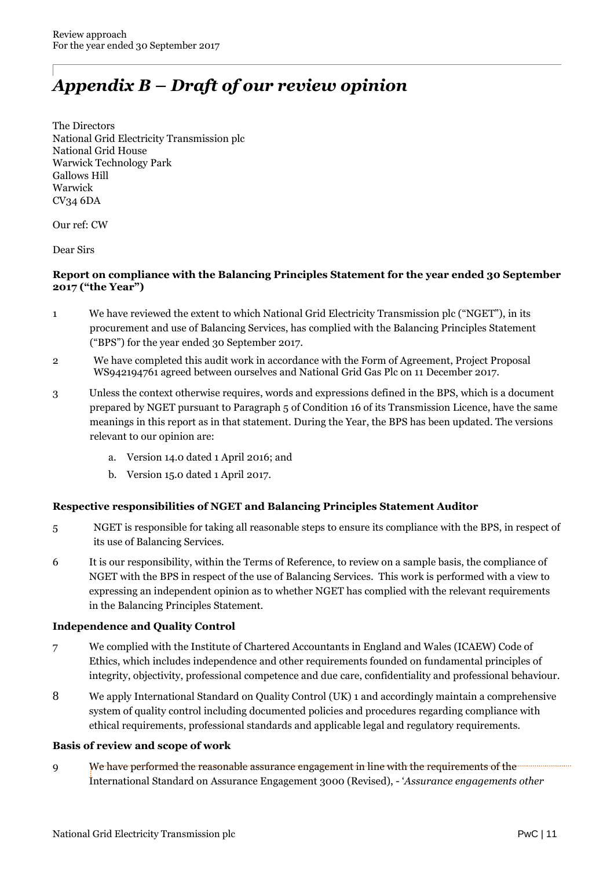# *Appendix B – Draft of our review opinion*

The Directors National Grid Electricity Transmission plc National Grid House Warwick Technology Park Gallows Hill Warwick CV34 6DA

Our ref: CW

Dear Sirs

### **Report on compliance with the Balancing Principles Statement for the year ended 30 September 2017 ("the Year")**

- 1 We have reviewed the extent to which National Grid Electricity Transmission plc ("NGET"), in its procurement and use of Balancing Services, has complied with the Balancing Principles Statement ("BPS") for the year ended 30 September 2017.
- 2 We have completed this audit work in accordance with the Form of Agreement, Project Proposal WS942194761 agreed between ourselves and National Grid Gas Plc on 11 December 2017.
- 3 Unless the context otherwise requires, words and expressions defined in the BPS, which is a document prepared by NGET pursuant to Paragraph 5 of Condition 16 of its Transmission Licence, have the same meanings in this report as in that statement. During the Year, the BPS has been updated. The versions relevant to our opinion are:
	- a. Version 14.0 dated 1 April 2016; and
	- b. Version 15.0 dated 1 April 2017.

### **Respective responsibilities of NGET and Balancing Principles Statement Auditor**

- 5 NGET is responsible for taking all reasonable steps to ensure its compliance with the BPS, in respect of its use of Balancing Services.
- 6 It is our responsibility, within the Terms of Reference, to review on a sample basis, the compliance of NGET with the BPS in respect of the use of Balancing Services. This work is performed with a view to expressing an independent opinion as to whether NGET has complied with the relevant requirements in the Balancing Principles Statement.

### **Independence and Quality Control**

- 7 We complied with the Institute of Chartered Accountants in England and Wales (ICAEW) Code of Ethics, which includes independence and other requirements founded on fundamental principles of integrity, objectivity, professional competence and due care, confidentiality and professional behaviour.
- 8 We apply International Standard on Quality Control (UK) 1 and accordingly maintain a comprehensive system of quality control including documented policies and procedures regarding compliance with ethical requirements, professional standards and applicable legal and regulatory requirements.

### **Basis of review and scope of work**

9 We have performed the reasonable assurance engagement in line with the requirements of the International Standard on Assurance Engagement 3000 (Revised), - '*Assurance engagements other*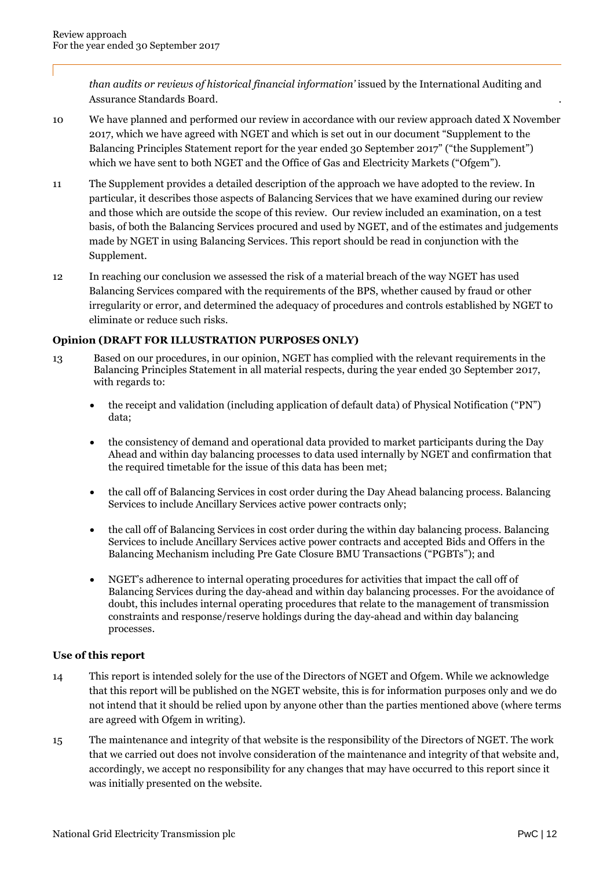*than audits or reviews of historical financial information'* issued by the International Auditing and Assurance Standards Board. .

- 10 We have planned and performed our review in accordance with our review approach dated X November 2017, which we have agreed with NGET and which is set out in our document "Supplement to the Balancing Principles Statement report for the year ended 30 September 2017" ("the Supplement") which we have sent to both NGET and the Office of Gas and Electricity Markets ("Ofgem").
- 11 The Supplement provides a detailed description of the approach we have adopted to the review. In particular, it describes those aspects of Balancing Services that we have examined during our review and those which are outside the scope of this review. Our review included an examination, on a test basis, of both the Balancing Services procured and used by NGET, and of the estimates and judgements made by NGET in using Balancing Services. This report should be read in conjunction with the Supplement.
- 12 In reaching our conclusion we assessed the risk of a material breach of the way NGET has used Balancing Services compared with the requirements of the BPS, whether caused by fraud or other irregularity or error, and determined the adequacy of procedures and controls established by NGET to eliminate or reduce such risks.

### **Opinion (DRAFT FOR ILLUSTRATION PURPOSES ONLY)**

- 13 Based on our procedures, in our opinion, NGET has complied with the relevant requirements in the Balancing Principles Statement in all material respects, during the year ended 30 September 2017, with regards to:
	- the receipt and validation (including application of default data) of Physical Notification ("PN") data;
	- the consistency of demand and operational data provided to market participants during the Day Ahead and within day balancing processes to data used internally by NGET and confirmation that the required timetable for the issue of this data has been met;
	- the call off of Balancing Services in cost order during the Day Ahead balancing process. Balancing Services to include Ancillary Services active power contracts only;
	- the call off of Balancing Services in cost order during the within day balancing process. Balancing Services to include Ancillary Services active power contracts and accepted Bids and Offers in the Balancing Mechanism including Pre Gate Closure BMU Transactions ("PGBTs"); and
	- NGET's adherence to internal operating procedures for activities that impact the call off of Balancing Services during the day-ahead and within day balancing processes. For the avoidance of doubt, this includes internal operating procedures that relate to the management of transmission constraints and response/reserve holdings during the day-ahead and within day balancing processes.

### **Use of this report**

- 14 This report is intended solely for the use of the Directors of NGET and Ofgem. While we acknowledge that this report will be published on the NGET website, this is for information purposes only and we do not intend that it should be relied upon by anyone other than the parties mentioned above (where terms are agreed with Ofgem in writing).
- 15 The maintenance and integrity of that website is the responsibility of the Directors of NGET. The work that we carried out does not involve consideration of the maintenance and integrity of that website and, accordingly, we accept no responsibility for any changes that may have occurred to this report since it was initially presented on the website.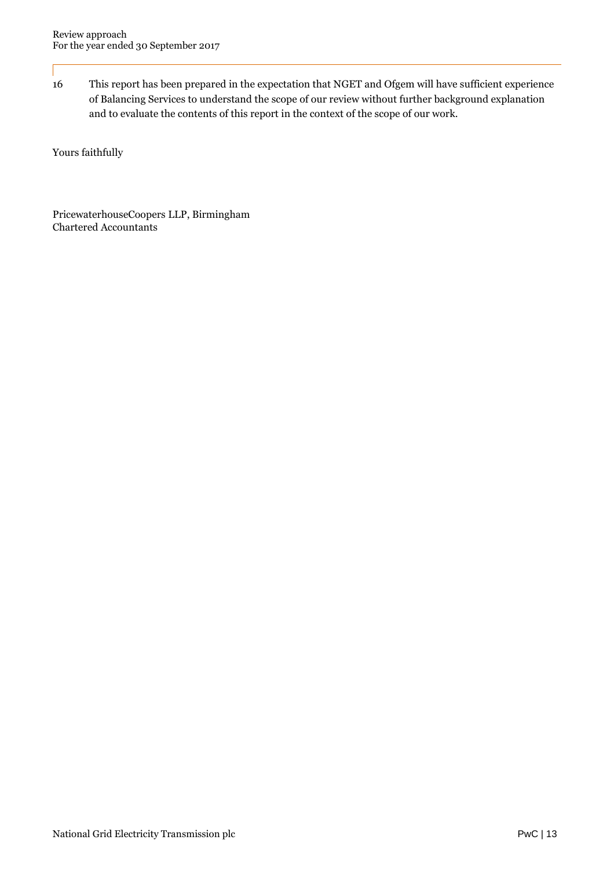16 This report has been prepared in the expectation that NGET and Ofgem will have sufficient experience of Balancing Services to understand the scope of our review without further background explanation and to evaluate the contents of this report in the context of the scope of our work.

Yours faithfully

PricewaterhouseCoopers LLP, Birmingham Chartered Accountants